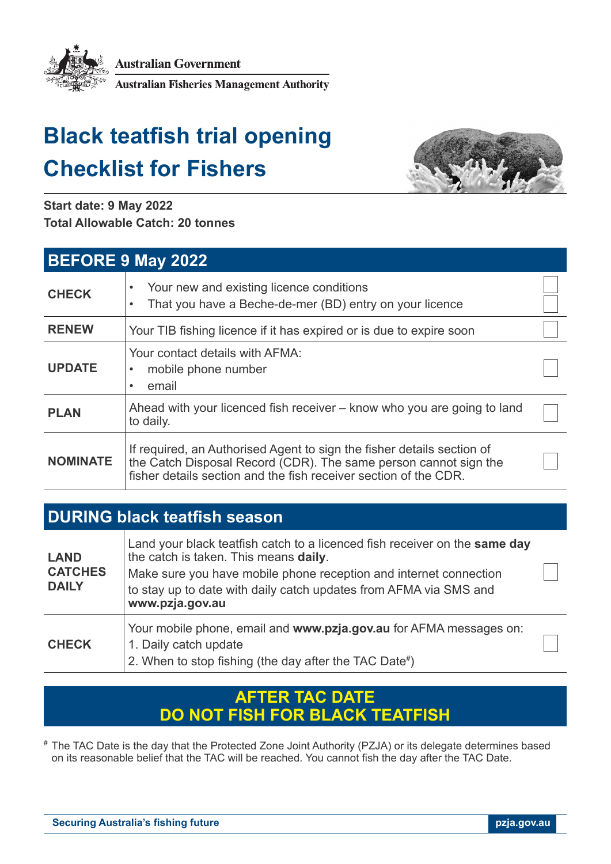

**Australian Government** 

**Australian Fisheries Management Authority** 

# **Black teatfish trial opening Checklist for Fishers**



**Start date: 9 May 2022 Total Allowable Catch: 20 tonnes**

| <b>BEFORE 9 May 2022</b> |                                                                                                                                                                                                                |  |  |
|--------------------------|----------------------------------------------------------------------------------------------------------------------------------------------------------------------------------------------------------------|--|--|
| <b>CHECK</b>             | Your new and existing licence conditions<br>That you have a Beche-de-mer (BD) entry on your licence<br>٠                                                                                                       |  |  |
| <b>RENEW</b>             | Your TIB fishing licence if it has expired or is due to expire soon                                                                                                                                            |  |  |
| <b>UPDATE</b>            | Your contact details with AFMA:<br>mobile phone number<br>email                                                                                                                                                |  |  |
| <b>PLAN</b>              | Ahead with your licenced fish receiver – know who you are going to land<br>to daily.                                                                                                                           |  |  |
| <b>NOMINATE</b>          | If required, an Authorised Agent to sign the fisher details section of<br>the Catch Disposal Record (CDR). The same person cannot sign the<br>fisher details section and the fish receiver section of the CDR. |  |  |

## **DURING black teatfish season**

| <b>LAND</b><br><b>CATCHES</b><br><b>DAILY</b> | Land your black teatfish catch to a licenced fish receiver on the same day<br>the catch is taken. This means daily.<br>Make sure you have mobile phone reception and internet connection<br>to stay up to date with daily catch updates from AFMA via SMS and<br>www.pzja.gov.au |  |
|-----------------------------------------------|----------------------------------------------------------------------------------------------------------------------------------------------------------------------------------------------------------------------------------------------------------------------------------|--|
| <b>CHECK</b>                                  | Your mobile phone, email and www.pzja.gov.au for AFMA messages on:<br>1. Daily catch update<br>2. When to stop fishing (the day after the TAC Date#)                                                                                                                             |  |

#### **AFTER TAC DATE DO NOT FISH FOR BLACK TEATFISH**

# The TAC Date is the day that the Protected Zone Joint Authority (PZJA) or its delegate determines based on its reasonable belief that the TAC will be reached. You cannot fish the day after the TAC Date.